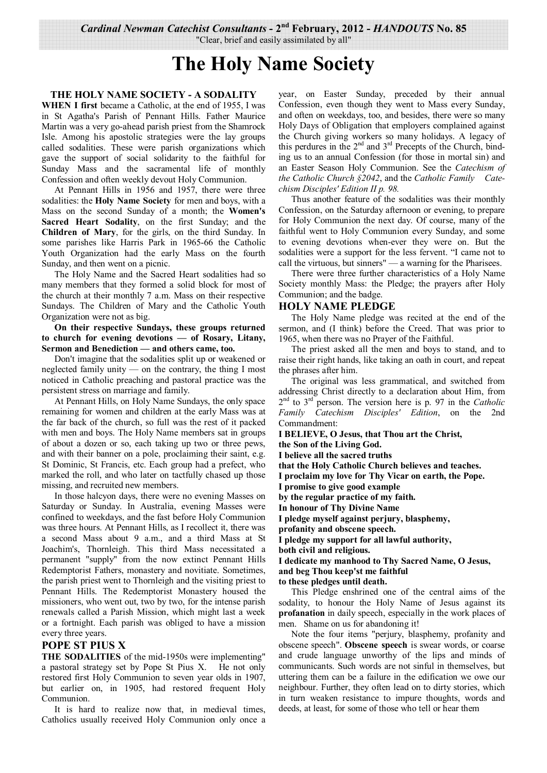*Cardinal Newman Catechist Consultants* **- 2nd February, 2012 -** *HANDOUTS* **No. 85** 

"Clear, brief and easily assimilated by all"

# **The Holy Name Society**

#### **THE HOLY NAME SOCIETY - A SODALITY**

**WHEN I first** became a Catholic, at the end of 1955, I was in St Agatha's Parish of Pennant Hills. Father Maurice Martin was a very go-ahead parish priest from the Shamrock Isle. Among his apostolic strategies were the lay groups called sodalities. These were parish organizations which gave the support of social solidarity to the faithful for Sunday Mass and the sacramental life of monthly Confession and often weekly devout Holy Communion.

 At Pennant Hills in 1956 and 1957, there were three sodalities: the **Holy Name Society** for men and boys, with a Mass on the second Sunday of a month; the **Women's Sacred Heart Sodality**, on the first Sunday; and the **Children of Mary**, for the girls, on the third Sunday. In some parishes like Harris Park in 1965-66 the Catholic Youth Organization had the early Mass on the fourth Sunday, and then went on a picnic.

 The Holy Name and the Sacred Heart sodalities had so many members that they formed a solid block for most of the church at their monthly 7 a.m. Mass on their respective Sundays. The Children of Mary and the Catholic Youth Organization were not as big.

**On their respective Sundays, these groups returned to church for evening devotions — of Rosary, Litany, Sermon and Benediction — and others came, too.**

 Don't imagine that the sodalities split up or weakened or neglected family unity — on the contrary, the thing I most noticed in Catholic preaching and pastoral practice was the persistent stress on marriage and family.

 At Pennant Hills, on Holy Name Sundays, the only space remaining for women and children at the early Mass was at the far back of the church, so full was the rest of it packed with men and boys. The Holy Name members sat in groups of about a dozen or so, each taking up two or three pews, and with their banner on a pole, proclaiming their saint, e.g. St Dominic, St Francis, etc. Each group had a prefect, who marked the roll, and who later on tactfully chased up those missing, and recruited new members.

 In those halcyon days, there were no evening Masses on Saturday or Sunday. In Australia, evening Masses were confined to weekdays, and the fast before Holy Communion was three hours. At Pennant Hills, as I recollect it, there was a second Mass about 9 a.m., and a third Mass at St Joachim's, Thornleigh. This third Mass necessitated a permanent "supply" from the now extinct Pennant Hills Redemptorist Fathers, monastery and novitiate. Sometimes, the parish priest went to Thornleigh and the visiting priest to Pennant Hills. The Redemptorist Monastery housed the missioners, who went out, two by two, for the intense parish renewals called a Parish Mission, which might last a week or a fortnight. Each parish was obliged to have a mission every three years.

## **POPE ST PIUS X**

**THE SODALITIES** of the mid-1950s were implementing" a pastoral strategy set by Pope St Pius X. He not only restored first Holy Communion to seven year olds in 1907, but earlier on, in 1905, had restored frequent Holy Communion.

 It is hard to realize now that, in medieval times, Catholics usually received Holy Communion only once a year, on Easter Sunday, preceded by their annual Confession, even though they went to Mass every Sunday, and often on weekdays, too, and besides, there were so many Holy Days of Obligation that employers complained against the Church giving workers so many holidays. A legacy of this perdures in the  $2<sup>nd</sup>$  and  $3<sup>rd</sup>$  Precepts of the Church, binding us to an annual Confession (for those in mortal sin) and an Easter Season Holy Communion. See the *Catechism of the Catholic Church §2042*, and the *Catholic Family Catechism Disciples' Edition II p. 98.*

 Thus another feature of the sodalities was their monthly Confession, on the Saturday afternoon or evening, to prepare for Holy Communion the next day. Of course, many of the faithful went to Holy Communion every Sunday, and some to evening devotions when-ever they were on. But the sodalities were a support for the less fervent. "I came not to call the virtuous, but sinners" — a warning for the Pharisees.

 There were three further characteristics of a Holy Name Society monthly Mass: the Pledge; the prayers after Holy Communion; and the badge.

## **HOLY NAME PLEDGE**

 The Holy Name pledge was recited at the end of the sermon, and (I think) before the Creed. That was prior to 1965, when there was no Prayer of the Faithful.

 The priest asked all the men and boys to stand, and to raise their right hands, like taking an oath in court, and repeat the phrases after him.

 The original was less grammatical, and switched from addressing Christ directly to a declaration about Him, from 2 nd to 3rd person. The version here is p. 97 in the *Catholic Family Catechism Disciples' Edition*, on the 2nd Commandment:

**I BELIEVE, O Jesus, that Thou art the Christ,** 

**the Son of the Living God.** 

**I believe all the sacred truths** 

**that the Holy Catholic Church believes and teaches.** 

**I proclaim my love for Thy Vicar on earth, the Pope.** 

**I promise to give good example** 

**by the regular practice of my faith.** 

**In honour of Thy Divine Name** 

**I pledge myself against perjury, blasphemy,** 

**profanity and obscene speech.** 

**I pledge my support for all lawful authority,** 

**both civil and religious.** 

**I dedicate my manhood to Thy Sacred Name, O Jesus, and beg Thou keep'st me faithful** 

**to these pledges until death.** 

 This Pledge enshrined one of the central aims of the sodality, to honour the Holy Name of Jesus against its **profanation** in daily speech, especially in the work places of men. Shame on us for abandoning it!

 Note the four items "perjury, blasphemy, profanity and obscene speech". **Obscene speech** is swear words, or coarse and crude language unworthy of the lips and minds of communicants. Such words are not sinful in themselves, but uttering them can be a failure in the edification we owe our neighbour. Further, they often lead on to dirty stories, which in turn weaken resistance to impure thoughts, words and deeds, at least, for some of those who tell or hear them